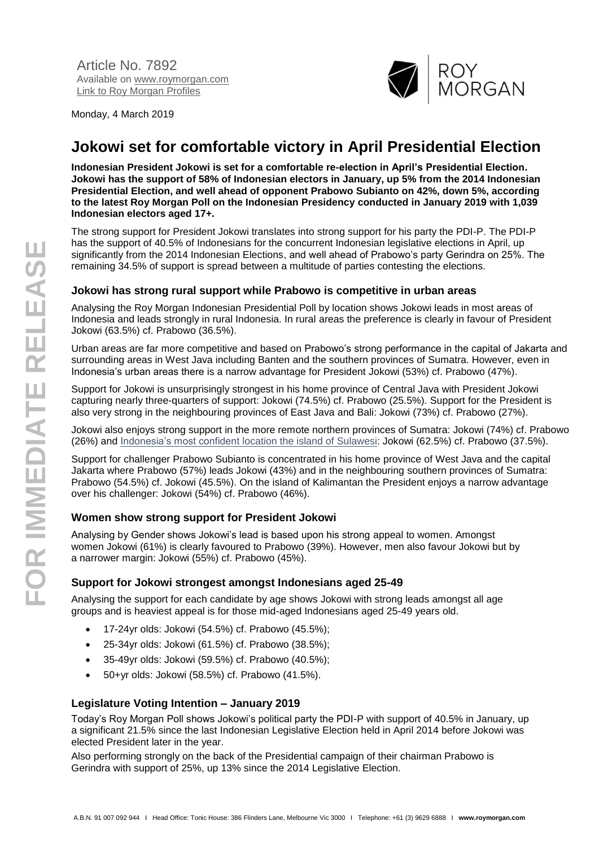

Monday, 4 March 2019

# **Jokowi set for comfortable victory in April Presidential Election**

**Indonesian President Jokowi is set for a comfortable re-election in April's Presidential Election. Jokowi has the support of 58% of Indonesian electors in January, up 5% from the 2014 Indonesian Presidential Election, and well ahead of opponent Prabowo Subianto on 42%, down 5%, according to the latest Roy Morgan Poll on the Indonesian Presidency conducted in January 2019 with 1,039 Indonesian electors aged 17+.**

The strong support for President Jokowi translates into strong support for his party the PDI-P. The PDI-P has the support of 40.5% of Indonesians for the concurrent Indonesian legislative elections in April, up significantly from the 2014 Indonesian Elections, and well ahead of Prabowo's party Gerindra on 25%. The remaining 34.5% of support is spread between a multitude of parties contesting the elections.

### **Jokowi has strong rural support while Prabowo is competitive in urban areas**

Analysing the Roy Morgan Indonesian Presidential Poll by location shows Jokowi leads in most areas of Indonesia and leads strongly in rural Indonesia. In rural areas the preference is clearly in favour of President Jokowi (63.5%) cf. Prabowo (36.5%).

Urban areas are far more competitive and based on Prabowo's strong performance in the capital of Jakarta and surrounding areas in West Java including Banten and the southern provinces of Sumatra. However, even in Indonesia's urban areas there is a narrow advantage for President Jokowi (53%) cf. Prabowo (47%).

Support for Jokowi is unsurprisingly strongest in his home province of Central Java with President Jokowi capturing nearly three-quarters of support: Jokowi (74.5%) cf. Prabowo (25.5%). Support for the President is also very strong in the neighbouring provinces of East Java and Bali: Jokowi (73%) cf. Prabowo (27%).

Jokowi also enjoys strong support in the more remote northern provinces of Sumatra: Jokowi (74%) cf. Prabowo (26%) and [Indonesia's most confident location the island of Sulawesi:](http://www.roymorgan.com/findings/7842-roy-morgan-indonesian-consumer-confidence-december-2018-201901271311) Jokowi (62.5%) cf. Prabowo (37.5%).

Support for challenger Prabowo Subianto is concentrated in his home province of West Java and the capital Jakarta where Prabowo (57%) leads Jokowi (43%) and in the neighbouring southern provinces of Sumatra: Prabowo (54.5%) cf. Jokowi (45.5%). On the island of Kalimantan the President enjoys a narrow advantage over his challenger: Jokowi (54%) cf. Prabowo (46%).

### **Women show strong support for President Jokowi**

Analysing by Gender shows Jokowi's lead is based upon his strong appeal to women. Amongst women Jokowi (61%) is clearly favoured to Prabowo (39%). However, men also favour Jokowi but by a narrower margin: Jokowi (55%) cf. Prabowo (45%).

### **Support for Jokowi strongest amongst Indonesians aged 25-49**

Analysing the support for each candidate by age shows Jokowi with strong leads amongst all age groups and is heaviest appeal is for those mid-aged Indonesians aged 25-49 years old.

- 17-24yr olds: Jokowi (54.5%) cf. Prabowo (45.5%);
- 25-34yr olds: Jokowi (61.5%) cf. Prabowo (38.5%);
- 35-49yr olds: Jokowi (59.5%) cf. Prabowo (40.5%);
- $\bullet$  50+yr olds: Jokowi (58.5%) cf. Prabowo (41.5%).

### **Legislature Voting Intention – January 2019**

Today's Roy Morgan Poll shows Jokowi's political party the PDI-P with support of 40.5% in January, up a significant 21.5% since the last Indonesian Legislative Election held in April 2014 before Jokowi was elected President later in the year.

Also performing strongly on the back of the Presidential campaign of their chairman Prabowo is Gerindra with support of 25%, up 13% since the 2014 Legislative Election.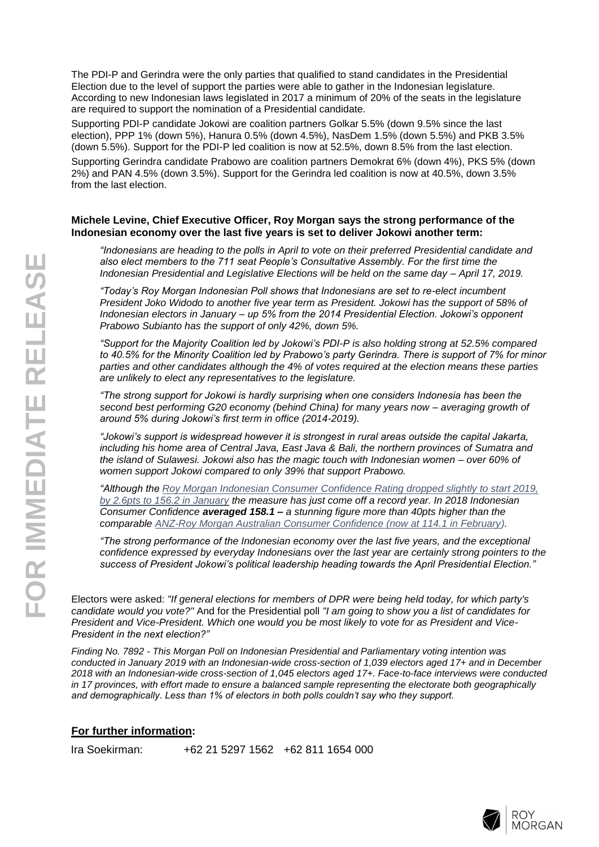The PDI-P and Gerindra were the only parties that qualified to stand candidates in the Presidential Election due to the level of support the parties were able to gather in the Indonesian legislature. According to new Indonesian laws legislated in 2017 a minimum of 20% of the seats in the legislature are required to support the nomination of a Presidential candidate.

Supporting PDI-P candidate Jokowi are coalition partners Golkar 5.5% (down 9.5% since the last election), PPP 1% (down 5%), Hanura 0.5% (down 4.5%), NasDem 1.5% (down 5.5%) and PKB 3.5% (down 5.5%). Support for the PDI-P led coalition is now at 52.5%, down 8.5% from the last election.

Supporting Gerindra candidate Prabowo are coalition partners Demokrat 6% (down 4%), PKS 5% (down 2%) and PAN 4.5% (down 3.5%). Support for the Gerindra led coalition is now at 40.5%, down 3.5% from the last election.

#### **Michele Levine, Chief Executive Officer, Roy Morgan says the strong performance of the Indonesian economy over the last five years is set to deliver Jokowi another term:**

*"Indonesians are heading to the polls in April to vote on their preferred Presidential candidate and also elect members to the 711 seat People's Consultative Assembly. For the first time the Indonesian Presidential and Legislative Elections will be held on the same day – April 17, 2019.*

*"Today's Roy Morgan Indonesian Poll shows that Indonesians are set to re-elect incumbent President Joko Widodo to another five year term as President. Jokowi has the support of 58% of Indonesian electors in January – up 5% from the 2014 Presidential Election. Jokowi's opponent Prabowo Subianto has the support of only 42%, down 5%.*

*"Support for the Majority Coalition led by Jokowi's PDI-P is also holding strong at 52.5% compared to 40.5% for the Minority Coalition led by Prabowo's party Gerindra. There is support of 7% for minor parties and other candidates although the 4% of votes required at the election means these parties are unlikely to elect any representatives to the legislature.*

*"The strong support for Jokowi is hardly surprising when one considers Indonesia has been the second best performing G20 economy (behind China) for many years now – averaging growth of around 5% during Jokowi's first term in office (2014-2019).*

*"Jokowi's support is widespread however it is strongest in rural areas outside the capital Jakarta, including his home area of Central Java, East Java & Bali, the northern provinces of Sumatra and the island of Sulawesi. Jokowi also has the magic touch with Indonesian women – over 60% of women support Jokowi compared to only 39% that support Prabowo.*

*"Although the [Roy Morgan Indonesian Consumer Confidence Rating dropped slightly to start 2019,](http://www.roymorgan.com/findings/7898-roy-morgan-indonesian-consumer-confidence-january-2019-201902220439)  [by 2.6pts to 156.2 in January](http://www.roymorgan.com/findings/7898-roy-morgan-indonesian-consumer-confidence-january-2019-201902220439) the measure has just come off a record year. In 2018 Indonesian Consumer Confidence averaged 158.1 – a stunning figure more than 40pts higher than the comparable [ANZ-Roy Morgan Australian Consumer Confidence \(now at 114.1 in February\)](http://www.roymorgan.com/morganpoll/consumer-confidence/consumer-confidence).*

*"The strong performance of the Indonesian economy over the last five years, and the exceptional confidence expressed by everyday Indonesians over the last year are certainly strong pointers to the success of President Jokowi's political leadership heading towards the April Presidential Election."*

Electors were asked: *"If general elections for members of DPR were being held today, for which party's candidate would you vote?"* And for the Presidential poll *"I am going to show you a list of candidates for President and Vice-President. Which one would you be most likely to vote for as President and Vice-President in the next election?"*

*Finding No. 7892 - This Morgan Poll on Indonesian Presidential and Parliamentary voting intention was conducted in January 2019 with an Indonesian-wide cross-section of 1,039 electors aged 17+ and in December 2018 with an Indonesian-wide cross-section of 1,045 electors aged 17+. Face-to-face interviews were conducted in 17 provinces, with effort made to ensure a balanced sample representing the electorate both geographically and demographically. Less than 1% of electors in both polls couldn't say who they support.*

### **For further information:**

Ira Soekirman: +62 21 5297 1562 +62 811 1654 000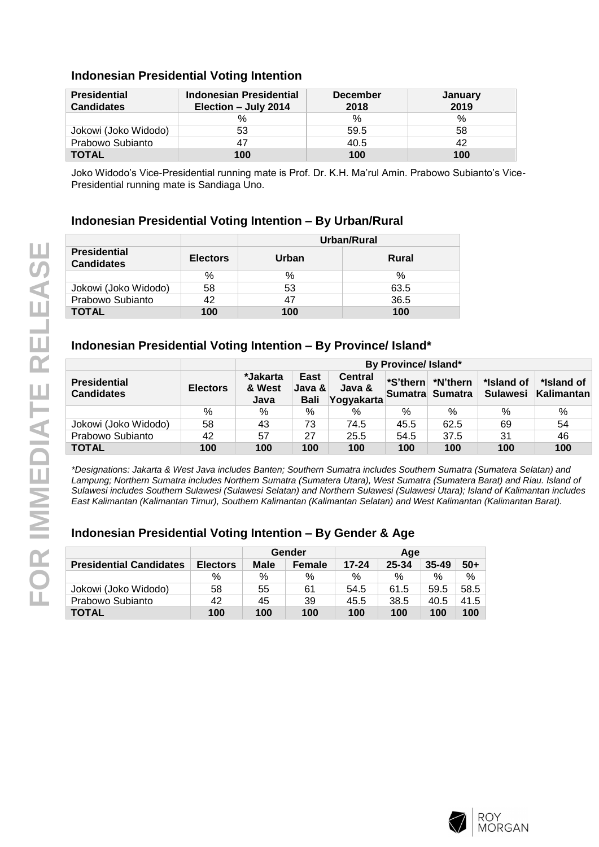## **Indonesian Presidential Voting Intention**

| <b>Presidential</b><br><b>Candidates</b> | Indonesian Presidential<br>Election - July 2014 | <b>December</b><br>2018 | <b>January</b><br>2019 |  |
|------------------------------------------|-------------------------------------------------|-------------------------|------------------------|--|
|                                          | $\%$                                            | %                       | %                      |  |
| Jokowi (Joko Widodo)                     | 53                                              | 59.5                    | 58                     |  |
| Prabowo Subianto                         |                                                 | 40.5                    | 42                     |  |
| <b>TOTAL</b>                             | 100                                             | 100                     | 100                    |  |

Joko Widodo's Vice-Presidential running mate is Prof. Dr. K.H. Ma'rul Amin. Prabowo Subianto's Vice-Presidential running mate is Sandiaga Uno.

## **Indonesian Presidential Voting Intention – By Urban/Rural**

|                                          |                 | Urban/Rural |       |  |  |
|------------------------------------------|-----------------|-------------|-------|--|--|
| <b>Presidential</b><br><b>Candidates</b> | <b>Electors</b> | Urban       | Rural |  |  |
|                                          | %               | %           | ℅     |  |  |
| Jokowi (Joko Widodo)                     | 58              | 53          | 63.5  |  |  |
| Prabowo Subianto                         | 42              | 47          | 36.5  |  |  |
| <b>TOTAL</b>                             | 100             | 100         | 100   |  |  |

## **Indonesian Presidential Voting Intention – By Province/ Island\***

|                                          |                 | By Province/ Island*                                                                                                                 |     |          |                        |                          |     |     |
|------------------------------------------|-----------------|--------------------------------------------------------------------------------------------------------------------------------------|-----|----------|------------------------|--------------------------|-----|-----|
| <b>Presidential</b><br><b>Candidates</b> | <b>Electors</b> | *Jakarta<br>East<br><b>Central</b><br>*S'thern<br>& West<br>Java &<br>Java &<br>Sumatra Sumatra<br><b>Bali</b><br>Yogyakarta<br>Java |     | *N'thern | *Island of<br>Sulawesi | *Island of<br>Kalimantan |     |     |
|                                          | %               | %                                                                                                                                    | %   | $\%$     | %                      | $\%$                     | %   | %   |
| Jokowi (Joko Widodo)                     | 58              | 43                                                                                                                                   | 73  | 74.5     | 45.5                   | 62.5                     | 69  | 54  |
| Prabowo Subianto                         | 42              | 57                                                                                                                                   | 27  | 25.5     | 54.5                   | 37.5                     | 31  | 46  |
| <b>TOTAL</b>                             | 100             | 100                                                                                                                                  | 100 | 100      | 100                    | 100                      | 100 | 100 |

*\*Designations: Jakarta & West Java includes Banten; Southern Sumatra includes Southern Sumatra (Sumatera Selatan) and Lampung; Northern Sumatra includes Northern Sumatra (Sumatera Utara), West Sumatra (Sumatera Barat) and Riau. Island of Sulawesi includes Southern Sulawesi (Sulawesi Selatan) and Northern Sulawesi (Sulawesi Utara); Island of Kalimantan includes East Kalimantan (Kalimantan Timur), Southern Kalimantan (Kalimantan Selatan) and West Kalimantan (Kalimantan Barat).*

|                                |                 | Gender      |               | Age       |       |           |       |  |  |  |
|--------------------------------|-----------------|-------------|---------------|-----------|-------|-----------|-------|--|--|--|
| <b>Presidential Candidates</b> | <b>Electors</b> | <b>Male</b> | <b>Female</b> | $17 - 24$ | 25-34 | $35 - 49$ | $50+$ |  |  |  |
|                                | %               | %           | %             | $\%$      | %     | $\%$      | %     |  |  |  |
| Jokowi (Joko Widodo)           | 58              | 55          | 61            | 54.5      | 61.5  | 59.5      | 58.5  |  |  |  |
| Prabowo Subianto               | 42              | 45          | 39            | 45.5      | 38.5  | 40.5      | 41.5  |  |  |  |
| <b>TOTAL</b>                   | 100             | 100         | 100           | 100       | 100   | 100       | 100   |  |  |  |

# **Indonesian Presidential Voting Intention – By Gender & Age**